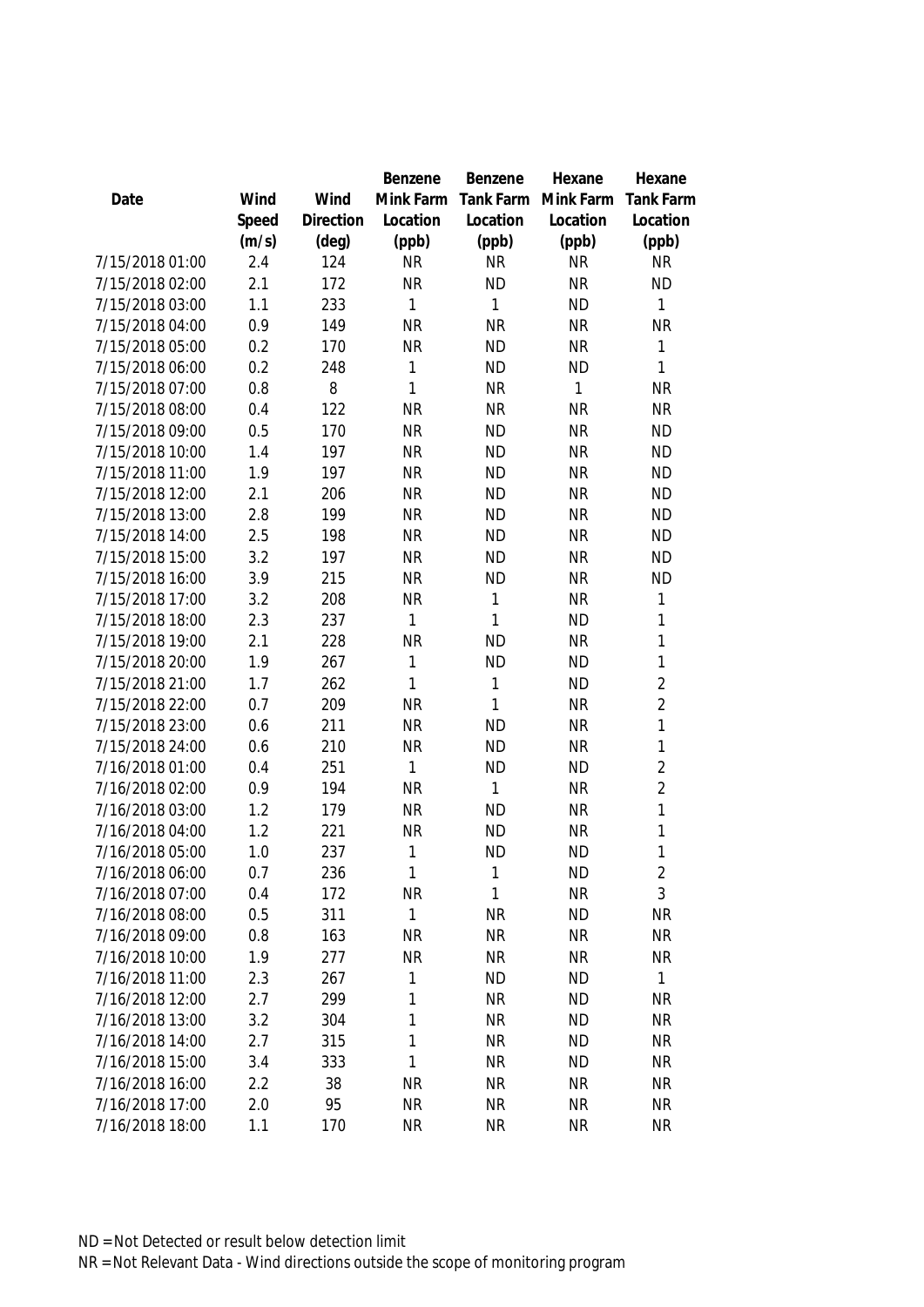|                 |       |                | Benzene      | Benzene   | Hexane       | Hexane           |
|-----------------|-------|----------------|--------------|-----------|--------------|------------------|
| Date            | Wind  | Wind           | Mink Farm    | Tank Farm | Mink Farm    | <b>Tank Farm</b> |
|                 | Speed | Direction      | Location     | Location  | Location     | Location         |
|                 | (m/s) | $(\text{deg})$ | (ppb)        | (ppb)     | (ppb)        | (ppb)            |
| 7/15/2018 01:00 | 2.4   | 124            | <b>NR</b>    | <b>NR</b> | <b>NR</b>    | <b>NR</b>        |
| 7/15/2018 02:00 | 2.1   | 172            | <b>NR</b>    | <b>ND</b> | <b>NR</b>    | <b>ND</b>        |
| 7/15/2018 03:00 | 1.1   | 233            | 1            | 1         | <b>ND</b>    | $\mathbf{1}$     |
| 7/15/2018 04:00 | 0.9   | 149            | <b>NR</b>    | <b>NR</b> | <b>NR</b>    | <b>NR</b>        |
| 7/15/2018 05:00 | 0.2   | 170            | <b>NR</b>    | <b>ND</b> | <b>NR</b>    | 1                |
| 7/15/2018 06:00 | 0.2   | 248            | 1            | <b>ND</b> | <b>ND</b>    | 1                |
| 7/15/2018 07:00 | 0.8   | 8              | $\mathbf{1}$ | <b>NR</b> | $\mathbf{1}$ | <b>NR</b>        |
| 7/15/2018 08:00 | 0.4   | 122            | <b>NR</b>    | <b>NR</b> | <b>NR</b>    | <b>NR</b>        |
| 7/15/2018 09:00 | 0.5   | 170            | <b>NR</b>    | <b>ND</b> | <b>NR</b>    | <b>ND</b>        |
| 7/15/2018 10:00 | 1.4   | 197            | <b>NR</b>    | <b>ND</b> | <b>NR</b>    | <b>ND</b>        |
| 7/15/2018 11:00 | 1.9   | 197            | <b>NR</b>    | <b>ND</b> | <b>NR</b>    | <b>ND</b>        |
| 7/15/2018 12:00 | 2.1   | 206            | <b>NR</b>    | <b>ND</b> | <b>NR</b>    | <b>ND</b>        |
| 7/15/2018 13:00 | 2.8   | 199            | <b>NR</b>    | <b>ND</b> | <b>NR</b>    | <b>ND</b>        |
| 7/15/2018 14:00 | 2.5   | 198            | <b>NR</b>    | <b>ND</b> | <b>NR</b>    | <b>ND</b>        |
| 7/15/2018 15:00 | 3.2   | 197            | <b>NR</b>    | <b>ND</b> | <b>NR</b>    | <b>ND</b>        |
| 7/15/2018 16:00 | 3.9   | 215            | <b>NR</b>    | <b>ND</b> | <b>NR</b>    | <b>ND</b>        |
| 7/15/2018 17:00 | 3.2   | 208            | <b>NR</b>    | 1         | <b>NR</b>    | 1                |
| 7/15/2018 18:00 | 2.3   | 237            | 1            | 1         | <b>ND</b>    | 1                |
| 7/15/2018 19:00 | 2.1   | 228            | <b>NR</b>    | <b>ND</b> | <b>NR</b>    | 1                |
| 7/15/2018 20:00 | 1.9   | 267            | 1            | <b>ND</b> | <b>ND</b>    | $\mathbf{1}$     |
| 7/15/2018 21:00 | 1.7   | 262            | 1            | 1         | <b>ND</b>    | $\overline{2}$   |
| 7/15/2018 22:00 | 0.7   | 209            | <b>NR</b>    | 1         | <b>NR</b>    | $\overline{2}$   |
| 7/15/2018 23:00 | 0.6   | 211            | <b>NR</b>    | <b>ND</b> | <b>NR</b>    | 1                |
| 7/15/2018 24:00 | 0.6   | 210            | <b>NR</b>    | <b>ND</b> | <b>NR</b>    | 1                |
| 7/16/2018 01:00 | 0.4   | 251            | 1            | <b>ND</b> | <b>ND</b>    | $\overline{2}$   |
| 7/16/2018 02:00 | 0.9   | 194            | <b>NR</b>    | 1         | <b>NR</b>    | $\overline{2}$   |
| 7/16/2018 03:00 | 1.2   | 179            | <b>NR</b>    | <b>ND</b> | <b>NR</b>    | $\mathbf{1}$     |
| 7/16/2018 04:00 | 1.2   | 221            | <b>NR</b>    | <b>ND</b> | <b>NR</b>    | $\mathbf{1}$     |
| 7/16/2018 05:00 | 1.0   | 237            | 1            | <b>ND</b> | <b>ND</b>    | 1                |
| 7/16/2018 06:00 | 0.7   | 236            | $\mathbf{1}$ | 1         | <b>ND</b>    | $\overline{c}$   |
| 7/16/2018 07:00 | 0.4   | 172            | <b>NR</b>    | 1         | <b>NR</b>    | 3                |
| 7/16/2018 08:00 | 0.5   | 311            | 1            | <b>NR</b> | <b>ND</b>    | <b>NR</b>        |
| 7/16/2018 09:00 | 0.8   | 163            | <b>NR</b>    | <b>NR</b> | <b>NR</b>    | <b>NR</b>        |
| 7/16/2018 10:00 | 1.9   | 277            | <b>NR</b>    | <b>NR</b> | <b>NR</b>    | <b>NR</b>        |
| 7/16/2018 11:00 | 2.3   | 267            | 1            | <b>ND</b> | <b>ND</b>    | 1                |
| 7/16/2018 12:00 | 2.7   | 299            | 1            | <b>NR</b> | <b>ND</b>    | <b>NR</b>        |
| 7/16/2018 13:00 | 3.2   | 304            | 1            | <b>NR</b> | <b>ND</b>    | <b>NR</b>        |
| 7/16/2018 14:00 | 2.7   | 315            | 1            | <b>NR</b> | <b>ND</b>    | <b>NR</b>        |
| 7/16/2018 15:00 | 3.4   | 333            | 1            | <b>NR</b> | <b>ND</b>    | <b>NR</b>        |
| 7/16/2018 16:00 | 2.2   | 38             | <b>NR</b>    | <b>NR</b> | <b>NR</b>    | <b>NR</b>        |
| 7/16/2018 17:00 | 2.0   | 95             | <b>NR</b>    | <b>NR</b> | <b>NR</b>    | <b>NR</b>        |
| 7/16/2018 18:00 | 1.1   | 170            | <b>NR</b>    | <b>NR</b> | <b>NR</b>    | <b>NR</b>        |
|                 |       |                |              |           |              |                  |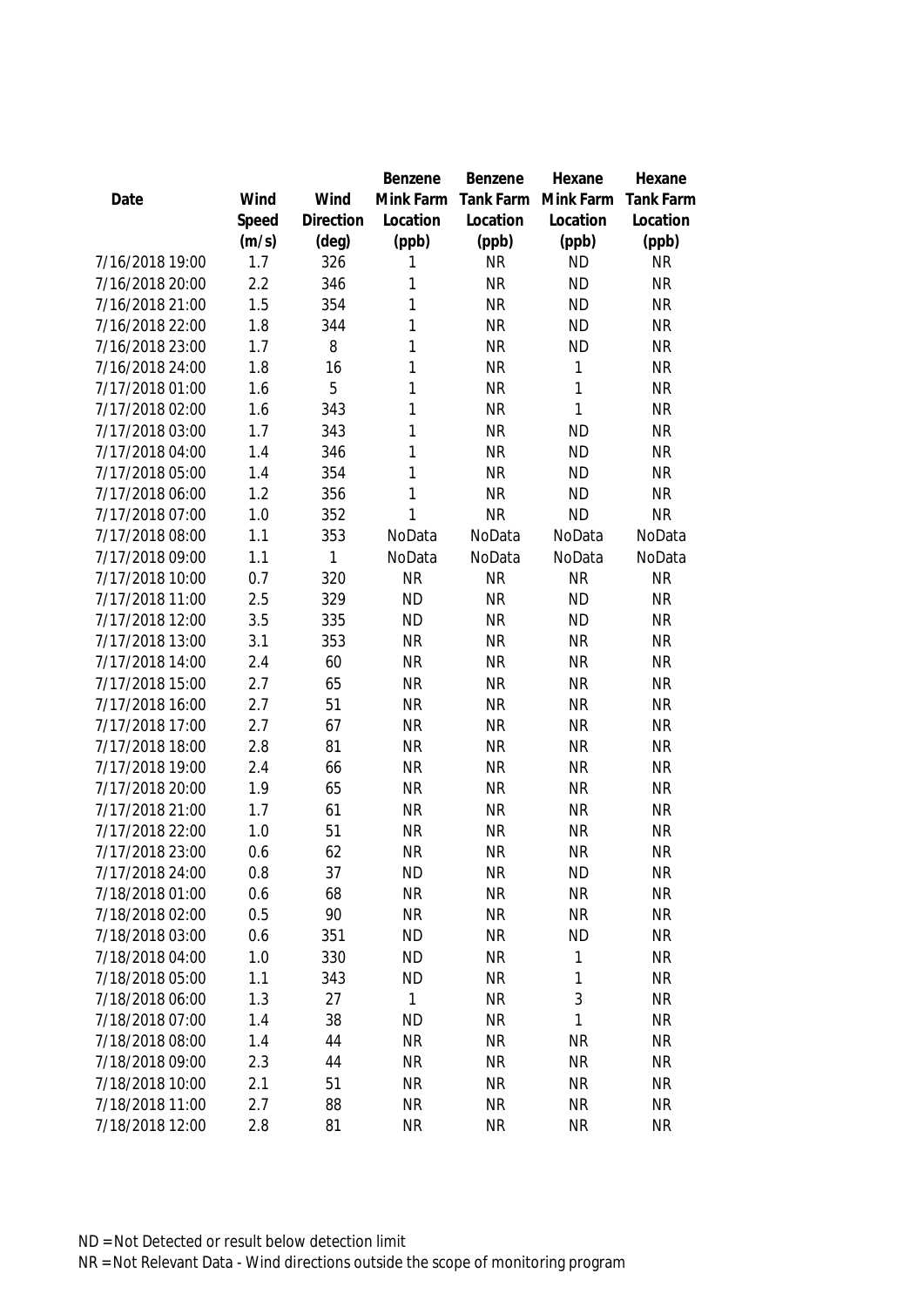|                 |       |                | Benzene      | Benzene   | Hexane    | Hexane           |
|-----------------|-------|----------------|--------------|-----------|-----------|------------------|
| Date            | Wind  | Wind           | Mink Farm    | Tank Farm | Mink Farm | <b>Tank Farm</b> |
|                 | Speed | Direction      | Location     | Location  | Location  | Location         |
|                 | (m/s) | $(\text{deg})$ | (ppb)        | (ppb)     | (ppb)     | (ppb)            |
| 7/16/2018 19:00 | 1.7   | 326            | 1            | <b>NR</b> | <b>ND</b> | <b>NR</b>        |
| 7/16/2018 20:00 | 2.2   | 346            | 1            | <b>NR</b> | <b>ND</b> | <b>NR</b>        |
| 7/16/2018 21:00 | 1.5   | 354            | 1            | <b>NR</b> | <b>ND</b> | <b>NR</b>        |
| 7/16/2018 22:00 | 1.8   | 344            | 1            | <b>NR</b> | <b>ND</b> | <b>NR</b>        |
| 7/16/2018 23:00 | 1.7   | 8              | 1            | <b>NR</b> | <b>ND</b> | <b>NR</b>        |
| 7/16/2018 24:00 | 1.8   | 16             | 1            | <b>NR</b> | 1         | <b>NR</b>        |
| 7/17/2018 01:00 | 1.6   | 5              | 1            | <b>NR</b> | 1         | <b>NR</b>        |
| 7/17/2018 02:00 | 1.6   | 343            | 1            | <b>NR</b> | 1         | <b>NR</b>        |
| 7/17/2018 03:00 | 1.7   | 343            | 1            | <b>NR</b> | <b>ND</b> | <b>NR</b>        |
| 7/17/2018 04:00 | 1.4   | 346            | $\mathbf{1}$ | <b>NR</b> | <b>ND</b> | <b>NR</b>        |
| 7/17/2018 05:00 | 1.4   | 354            | 1            | <b>NR</b> | <b>ND</b> | <b>NR</b>        |
| 7/17/2018 06:00 | 1.2   | 356            | 1            | <b>NR</b> | <b>ND</b> | <b>NR</b>        |
| 7/17/2018 07:00 | 1.0   | 352            | 1            | <b>NR</b> | <b>ND</b> | <b>NR</b>        |
| 7/17/2018 08:00 | 1.1   | 353            | NoData       | NoData    | NoData    | NoData           |
| 7/17/2018 09:00 | 1.1   | 1              | NoData       | NoData    | NoData    | NoData           |
| 7/17/2018 10:00 | 0.7   | 320            | <b>NR</b>    | <b>NR</b> | <b>NR</b> | <b>NR</b>        |
| 7/17/2018 11:00 | 2.5   | 329            | <b>ND</b>    | <b>NR</b> | <b>ND</b> | <b>NR</b>        |
| 7/17/2018 12:00 | 3.5   | 335            | <b>ND</b>    | <b>NR</b> | <b>ND</b> | <b>NR</b>        |
| 7/17/2018 13:00 | 3.1   | 353            | <b>NR</b>    | <b>NR</b> | <b>NR</b> | <b>NR</b>        |
| 7/17/2018 14:00 | 2.4   | 60             | <b>NR</b>    | <b>NR</b> | <b>NR</b> | <b>NR</b>        |
| 7/17/2018 15:00 | 2.7   | 65             | <b>NR</b>    | <b>NR</b> | <b>NR</b> | <b>NR</b>        |
| 7/17/2018 16:00 | 2.7   | 51             | <b>NR</b>    | <b>NR</b> | <b>NR</b> | <b>NR</b>        |
| 7/17/2018 17:00 | 2.7   | 67             | <b>NR</b>    | <b>NR</b> | <b>NR</b> | <b>NR</b>        |
| 7/17/2018 18:00 | 2.8   | 81             | <b>NR</b>    | <b>NR</b> | <b>NR</b> | <b>NR</b>        |
| 7/17/2018 19:00 | 2.4   | 66             | <b>NR</b>    | <b>NR</b> | <b>NR</b> | <b>NR</b>        |
| 7/17/2018 20:00 | 1.9   | 65             | <b>NR</b>    | <b>NR</b> | <b>NR</b> | <b>NR</b>        |
| 7/17/2018 21:00 | 1.7   | 61             | <b>NR</b>    | <b>NR</b> | <b>NR</b> | <b>NR</b>        |
| 7/17/2018 22:00 | 1.0   | 51             | <b>NR</b>    | <b>NR</b> | <b>NR</b> | <b>NR</b>        |
| 7/17/2018 23:00 | 0.6   | 62             | <b>NR</b>    | <b>NR</b> | <b>NR</b> | <b>NR</b>        |
| 7/17/2018 24:00 | 0.8   | 37             | <b>ND</b>    | NR        | <b>ND</b> | <b>NR</b>        |
| 7/18/2018 01:00 | 0.6   | 68             | <b>NR</b>    | <b>NR</b> | <b>NR</b> | <b>NR</b>        |
| 7/18/2018 02:00 | 0.5   | 90             | <b>NR</b>    | <b>NR</b> | <b>NR</b> | <b>NR</b>        |
| 7/18/2018 03:00 | 0.6   | 351            | <b>ND</b>    | <b>NR</b> | <b>ND</b> | <b>NR</b>        |
| 7/18/2018 04:00 | 1.0   | 330            | <b>ND</b>    | ΝR        | 1         | <b>NR</b>        |
| 7/18/2018 05:00 | 1.1   | 343            | <b>ND</b>    | <b>NR</b> | 1         | <b>NR</b>        |
| 7/18/2018 06:00 | 1.3   | 27             | 1            | <b>NR</b> | 3         | <b>NR</b>        |
| 7/18/2018 07:00 | 1.4   | 38             | <b>ND</b>    | <b>NR</b> | 1         | <b>NR</b>        |
| 7/18/2018 08:00 | 1.4   | 44             | <b>NR</b>    | <b>NR</b> | <b>NR</b> | <b>NR</b>        |
| 7/18/2018 09:00 | 2.3   | 44             | <b>NR</b>    | <b>NR</b> | <b>NR</b> | <b>NR</b>        |
| 7/18/2018 10:00 | 2.1   | 51             | <b>NR</b>    | <b>NR</b> | <b>NR</b> | <b>NR</b>        |
| 7/18/2018 11:00 | 2.7   | 88             | NR           | <b>NR</b> | <b>NR</b> | <b>NR</b>        |
| 7/18/2018 12:00 | 2.8   | 81             | <b>NR</b>    | <b>NR</b> | <b>NR</b> | <b>NR</b>        |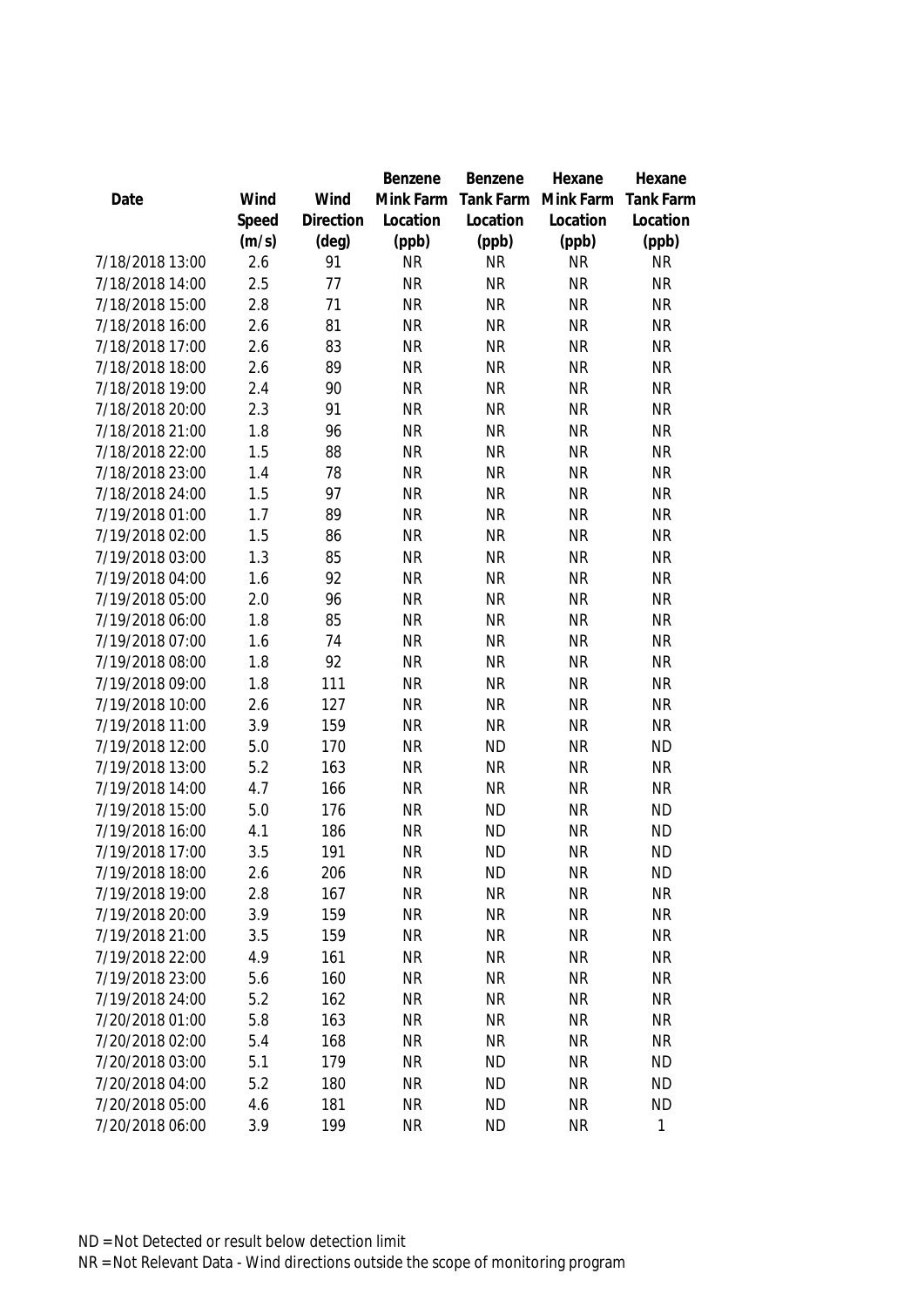|                 |       |                | Benzene   | Benzene   | Hexane    | Hexane           |
|-----------------|-------|----------------|-----------|-----------|-----------|------------------|
| Date            | Wind  | Wind           | Mink Farm | Tank Farm | Mink Farm | <b>Tank Farm</b> |
|                 | Speed | Direction      | Location  | Location  | Location  | Location         |
|                 | (m/s) | $(\text{deg})$ | (ppb)     | (ppb)     | (ppb)     | (ppb)            |
| 7/18/2018 13:00 | 2.6   | 91             | <b>NR</b> | <b>NR</b> | <b>NR</b> | <b>NR</b>        |
| 7/18/2018 14:00 | 2.5   | 77             | <b>NR</b> | <b>NR</b> | <b>NR</b> | <b>NR</b>        |
| 7/18/2018 15:00 | 2.8   | 71             | <b>NR</b> | <b>NR</b> | <b>NR</b> | <b>NR</b>        |
| 7/18/2018 16:00 | 2.6   | 81             | <b>NR</b> | <b>NR</b> | <b>NR</b> | <b>NR</b>        |
| 7/18/2018 17:00 | 2.6   | 83             | <b>NR</b> | <b>NR</b> | <b>NR</b> | <b>NR</b>        |
| 7/18/2018 18:00 | 2.6   | 89             | <b>NR</b> | <b>NR</b> | <b>NR</b> | <b>NR</b>        |
| 7/18/2018 19:00 | 2.4   | 90             | <b>NR</b> | <b>NR</b> | <b>NR</b> | <b>NR</b>        |
| 7/18/2018 20:00 | 2.3   | 91             | <b>NR</b> | <b>NR</b> | <b>NR</b> | <b>NR</b>        |
| 7/18/2018 21:00 | 1.8   | 96             | <b>NR</b> | <b>NR</b> | <b>NR</b> | <b>NR</b>        |
| 7/18/2018 22:00 | 1.5   | 88             | <b>NR</b> | <b>NR</b> | <b>NR</b> | <b>NR</b>        |
| 7/18/2018 23:00 | 1.4   | 78             | <b>NR</b> | <b>NR</b> | <b>NR</b> | <b>NR</b>        |
| 7/18/2018 24:00 | 1.5   | 97             | <b>NR</b> | <b>NR</b> | <b>NR</b> | <b>NR</b>        |
| 7/19/2018 01:00 | 1.7   | 89             | <b>NR</b> | <b>NR</b> | <b>NR</b> | <b>NR</b>        |
| 7/19/2018 02:00 | 1.5   | 86             | <b>NR</b> | <b>NR</b> | <b>NR</b> | <b>NR</b>        |
| 7/19/2018 03:00 | 1.3   | 85             | <b>NR</b> | <b>NR</b> | <b>NR</b> | <b>NR</b>        |
| 7/19/2018 04:00 | 1.6   | 92             | <b>NR</b> | <b>NR</b> | <b>NR</b> | <b>NR</b>        |
| 7/19/2018 05:00 | 2.0   | 96             | <b>NR</b> | <b>NR</b> | <b>NR</b> | <b>NR</b>        |
| 7/19/2018 06:00 | 1.8   | 85             | <b>NR</b> | <b>NR</b> | <b>NR</b> | <b>NR</b>        |
| 7/19/2018 07:00 | 1.6   | 74             | <b>NR</b> | <b>NR</b> | <b>NR</b> | <b>NR</b>        |
| 7/19/2018 08:00 | 1.8   | 92             | <b>NR</b> | <b>NR</b> | <b>NR</b> | <b>NR</b>        |
| 7/19/2018 09:00 | 1.8   | 111            | <b>NR</b> | <b>NR</b> | <b>NR</b> | <b>NR</b>        |
| 7/19/2018 10:00 | 2.6   | 127            | <b>NR</b> | <b>NR</b> | <b>NR</b> | <b>NR</b>        |
| 7/19/2018 11:00 | 3.9   | 159            | <b>NR</b> | <b>NR</b> | <b>NR</b> | <b>NR</b>        |
| 7/19/2018 12:00 | 5.0   | 170            | <b>NR</b> | <b>ND</b> | <b>NR</b> | <b>ND</b>        |
| 7/19/2018 13:00 | 5.2   | 163            | <b>NR</b> | <b>NR</b> | <b>NR</b> | <b>NR</b>        |
| 7/19/2018 14:00 | 4.7   | 166            | <b>NR</b> | <b>NR</b> | <b>NR</b> | <b>NR</b>        |
| 7/19/2018 15:00 | 5.0   | 176            | <b>NR</b> | <b>ND</b> | <b>NR</b> | <b>ND</b>        |
| 7/19/2018 16:00 | 4.1   | 186            | <b>NR</b> | <b>ND</b> | <b>NR</b> | <b>ND</b>        |
| 7/19/2018 17:00 | 3.5   | 191            | <b>NR</b> | <b>ND</b> | <b>NR</b> | <b>ND</b>        |
| 7/19/2018 18:00 | 2.6   | 206            | <b>NR</b> | <b>ND</b> | <b>NR</b> | <b>ND</b>        |
| 7/19/2018 19:00 | 2.8   | 167            | <b>NR</b> | <b>NR</b> | <b>NR</b> | <b>NR</b>        |
| 7/19/2018 20:00 | 3.9   | 159            | <b>NR</b> | <b>NR</b> | <b>NR</b> | <b>NR</b>        |
| 7/19/2018 21:00 | 3.5   | 159            | <b>NR</b> | <b>NR</b> | <b>NR</b> | <b>NR</b>        |
| 7/19/2018 22:00 | 4.9   | 161            | <b>NR</b> | <b>NR</b> | <b>NR</b> | <b>NR</b>        |
| 7/19/2018 23:00 | 5.6   | 160            | <b>NR</b> | <b>NR</b> | <b>NR</b> | <b>NR</b>        |
| 7/19/2018 24:00 | 5.2   | 162            | <b>NR</b> | <b>NR</b> | <b>NR</b> | <b>NR</b>        |
| 7/20/2018 01:00 | 5.8   | 163            | <b>NR</b> | <b>NR</b> | <b>NR</b> | <b>NR</b>        |
| 7/20/2018 02:00 | 5.4   | 168            | <b>NR</b> | <b>NR</b> | <b>NR</b> | <b>NR</b>        |
| 7/20/2018 03:00 | 5.1   | 179            | <b>NR</b> | <b>ND</b> | <b>NR</b> | <b>ND</b>        |
| 7/20/2018 04:00 | 5.2   | 180            | <b>NR</b> | <b>ND</b> | <b>NR</b> | <b>ND</b>        |
| 7/20/2018 05:00 | 4.6   | 181            | <b>NR</b> | <b>ND</b> | <b>NR</b> | <b>ND</b>        |
| 7/20/2018 06:00 | 3.9   | 199            | <b>NR</b> | <b>ND</b> | <b>NR</b> | 1                |